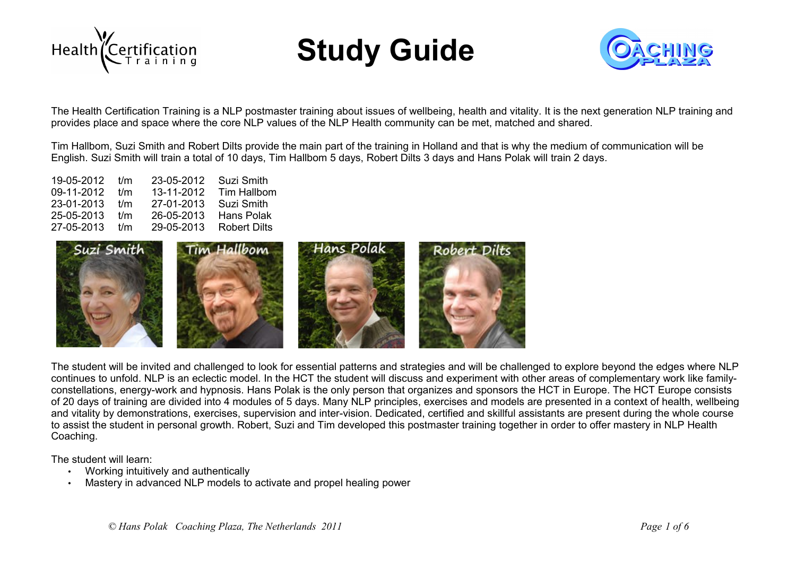





The Health Certification Training is a NLP postmaster training about issues of wellbeing, health and vitality. It is the next generation NLP training and provides place and space where the core NLP values of the NLP Health community can be met, matched and shared.

Tim Hallbom, Suzi Smith and Robert Dilts provide the main part of the training in Holland and that is why the medium of communication will be English. Suzi Smith will train a total of 10 days, Tim Hallbom 5 days, Robert Dilts 3 days and Hans Polak will train 2 days.

| Suzi Smith<br>23-05-2012   |
|----------------------------|
| 13-11-2012<br>Tim Hallbom  |
| Suzi Smith<br>27-01-2013   |
| Hans Polak<br>26-05-2013   |
| Robert Dilts<br>29-05-2013 |
|                            |



The student will be invited and challenged to look for essential patterns and strategies and will be challenged to explore beyond the edges where NLP continues to unfold. NLP is an eclectic model. In the HCT the student will discuss and experiment with other areas of complementary work like familyconstellations, energy-work and hypnosis. Hans Polak is the only person that organizes and sponsors the HCT in Europe. The HCT Europe consists of 20 days of training are divided into 4 modules of 5 days. Many NLP principles, exercises and models are presented in a context of health, wellbeing and vitality by demonstrations, exercises, supervision and inter-vision. Dedicated, certified and skillful assistants are present during the whole course to assist the student in personal growth. Robert, Suzi and Tim developed this postmaster training together in order to offer mastery in NLP Health Coaching.

The student will learn:

- Working intuitively and authentically
- Mastery in advanced NLP models to activate and propel healing power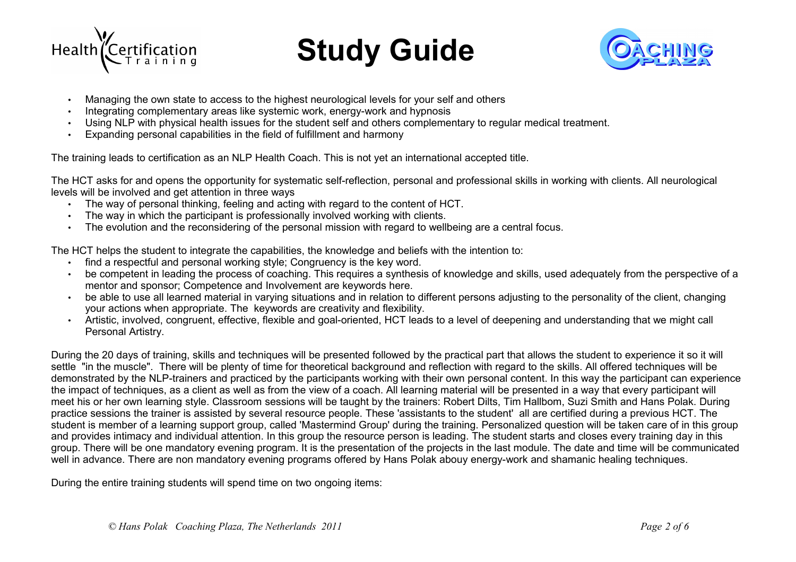



- Managing the own state to access to the highest neurological levels for your self and others
- Integrating complementary areas like systemic work, energy-work and hypnosis
- Using NLP with physical health issues for the student self and others complementary to regular medical treatment.
- Expanding personal capabilities in the field of fulfillment and harmony

The training leads to certification as an NLP Health Coach. This is not yet an international accepted title.

The HCT asks for and opens the opportunity for systematic self-reflection, personal and professional skills in working with clients. All neurological levels will be involved and get attention in three ways

- The way of personal thinking, feeling and acting with regard to the content of HCT.
- The way in which the participant is professionally involved working with clients.
- The evolution and the reconsidering of the personal mission with regard to wellbeing are a central focus.

The HCT helps the student to integrate the capabilities, the knowledge and beliefs with the intention to:

- find a respectful and personal working style; Congruency is the key word.
- be competent in leading the process of coaching. This requires a synthesis of knowledge and skills, used adequately from the perspective of a mentor and sponsor; Competence and Involvement are keywords here.
- be able to use all learned material in varying situations and in relation to different persons adjusting to the personality of the client, changing your actions when appropriate. The keywords are creativity and flexibility.
- Artistic, involved, congruent, effective, flexible and goal-oriented, HCT leads to a level of deepening and understanding that we might call Personal Artistry.

During the 20 days of training, skills and techniques will be presented followed by the practical part that allows the student to experience it so it will settle "in the muscle". There will be plenty of time for theoretical background and reflection with regard to the skills. All offered techniques will be demonstrated by the NLP-trainers and practiced by the participants working with their own personal content. In this way the participant can experience the impact of techniques, as a client as well as from the view of a coach. All learning material will be presented in a way that every participant will meet his or her own learning style. Classroom sessions will be taught by the trainers: Robert Dilts, Tim Hallbom, Suzi Smith and Hans Polak. During practice sessions the trainer is assisted by several resource people. These 'assistants to the student' all are certified during a previous HCT. The student is member of a learning support group, called 'Mastermind Group' during the training. Personalized question will be taken care of in this group and provides intimacy and individual attention. In this group the resource person is leading. The student starts and closes every training day in this group. There will be one mandatory evening program. It is the presentation of the projects in the last module. The date and time will be communicated well in advance. There are non mandatory evening programs offered by Hans Polak abouy energy-work and shamanic healing techniques.

During the entire training students will spend time on two ongoing items: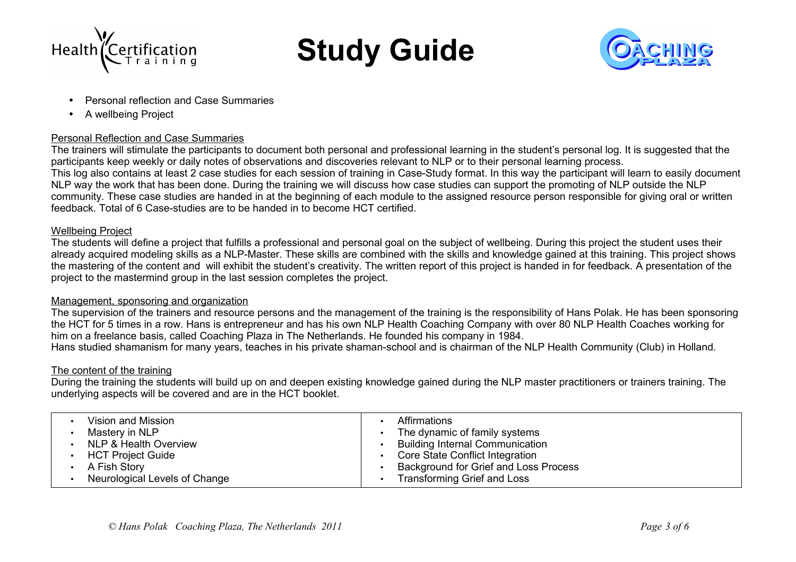



- Personal reflection and Case Summaries
- A wellbeing Project

### Personal Reflection and Case Summaries

The trainers will stimulate the participants to document both personal and professional learning in the student's personal log. It is suggested that the participants keep weekly or daily notes of observations and discoveries relevant to NLP or to their personal learning process. This log also contains at least 2 case studies for each session of training in Case-Study format. In this way the participant will learn to easily document NLP way the work that has been done. During the training we will discuss how case studies can support the promoting of NLP outside the NLP community. These case studies are handed in at the beginning of each module to the assigned resource person responsible for giving oral or written feedback. Total of 6 Case-studies are to be handed in to become HCT certified.

### Wellbeing Project

The students will define a project that fulfills a professional and personal goal on the subject of wellbeing. During this project the student uses their already acquired modeling skills as a NLP-Master. These skills are combined with the skills and knowledge gained at this training. This project shows the mastering of the content and will exhibit the student's creativity. The written report of this project is handed in for feedback. A presentation of the project to the mastermind group in the last session completes the project.

### Management, sponsoring and organization

The supervision of the trainers and resource persons and the management of the training is the responsibility of Hans Polak. He has been sponsoring the HCT for 5 times in a row. Hans is entrepreneur and has his own NLP Health Coaching Company with over 80 NLP Health Coaches working for him on a freelance basis, called Coaching Plaza in The Netherlands. He founded his company in 1984.

Hans studied shamanism for many years, teaches in his private shaman-school and is chairman of the NLP Health Community (Club) in Holland.

### The content of the training

During the training the students will build up on and deepen existing knowledge gained during the NLP master practitioners or trainers training. The underlying aspects will be covered and are in the HCT booklet.

| Vision and Mission            | Affirmations                           |
|-------------------------------|----------------------------------------|
| Mastery in NLP                | The dynamic of family systems          |
| NLP & Health Overview         | <b>Building Internal Communication</b> |
| <b>HCT Project Guide</b>      | Core State Conflict Integration        |
| A Fish Story                  | Background for Grief and Loss Process  |
| Neurological Levels of Change | <b>Transforming Grief and Loss</b>     |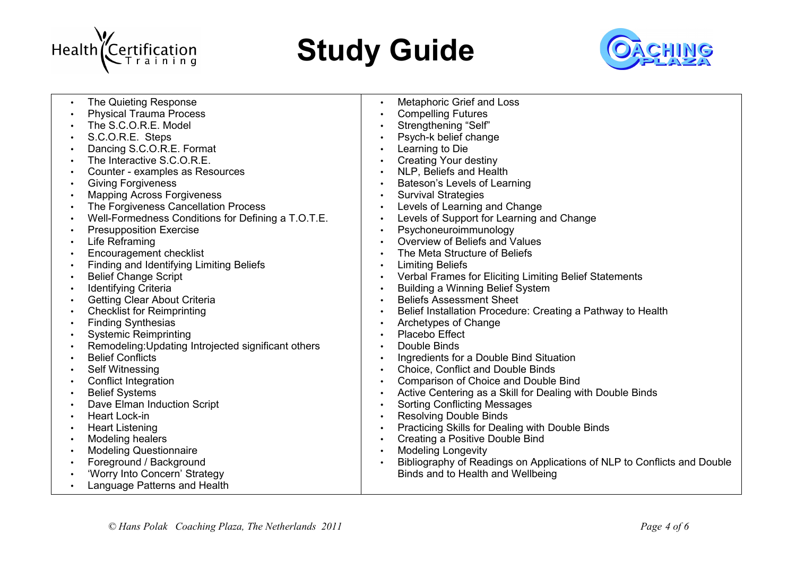



| $\bullet$ | The Quieting Response                               | $\bullet$ | Metaphoric Grief and Loss                                               |
|-----------|-----------------------------------------------------|-----------|-------------------------------------------------------------------------|
| $\bullet$ | <b>Physical Trauma Process</b>                      |           | <b>Compelling Futures</b>                                               |
| $\bullet$ | The S.C.O.R.E. Model                                | $\bullet$ | Strengthening "Self"                                                    |
| $\bullet$ | S.C.O.R.E. Steps                                    |           | Psych-k belief change                                                   |
| $\bullet$ | Dancing S.C.O.R.E. Format                           | $\bullet$ | Learning to Die                                                         |
| $\bullet$ | The Interactive S.C.O.R.E.                          |           | <b>Creating Your destiny</b>                                            |
| $\bullet$ | Counter - examples as Resources                     |           | NLP, Beliefs and Health                                                 |
| $\bullet$ | <b>Giving Forgiveness</b>                           | $\bullet$ | Bateson's Levels of Learning                                            |
| $\bullet$ | <b>Mapping Across Forgiveness</b>                   | $\bullet$ | <b>Survival Strategies</b>                                              |
| $\bullet$ | The Forgiveness Cancellation Process                | $\bullet$ | Levels of Learning and Change                                           |
| $\bullet$ | Well-Formedness Conditions for Defining a T.O.T.E.  | $\bullet$ | Levels of Support for Learning and Change                               |
| $\bullet$ | <b>Presupposition Exercise</b>                      | $\bullet$ | Psychoneuroimmunology                                                   |
| $\bullet$ | Life Reframing                                      | $\bullet$ | Overview of Beliefs and Values                                          |
| $\bullet$ | Encouragement checklist                             | $\bullet$ | The Meta Structure of Beliefs                                           |
| $\bullet$ | Finding and Identifying Limiting Beliefs            | $\bullet$ | <b>Limiting Beliefs</b>                                                 |
|           | <b>Belief Change Script</b>                         | $\bullet$ | Verbal Frames for Eliciting Limiting Belief Statements                  |
|           | <b>Identifying Criteria</b>                         |           | <b>Building a Winning Belief System</b>                                 |
| $\bullet$ | Getting Clear About Criteria                        | $\bullet$ | <b>Beliefs Assessment Sheet</b>                                         |
| $\bullet$ | <b>Checklist for Reimprinting</b>                   | $\bullet$ | Belief Installation Procedure: Creating a Pathway to Health             |
| $\bullet$ | <b>Finding Synthesias</b>                           | $\bullet$ | Archetypes of Change                                                    |
|           | <b>Systemic Reimprinting</b>                        |           | Placebo Effect                                                          |
| $\bullet$ | Remodeling: Updating Introjected significant others | $\bullet$ | Double Binds                                                            |
| $\bullet$ | <b>Belief Conflicts</b>                             |           | Ingredients for a Double Bind Situation                                 |
| $\bullet$ | Self Witnessing                                     | $\bullet$ | Choice, Conflict and Double Binds                                       |
| $\bullet$ | <b>Conflict Integration</b>                         | $\bullet$ | Comparison of Choice and Double Bind                                    |
| $\bullet$ | <b>Belief Systems</b>                               | $\bullet$ | Active Centering as a Skill for Dealing with Double Binds               |
|           | Dave Elman Induction Script                         | $\bullet$ | <b>Sorting Conflicting Messages</b>                                     |
| $\bullet$ | Heart Lock-in                                       |           | <b>Resolving Double Binds</b>                                           |
| $\bullet$ | <b>Heart Listening</b>                              | $\bullet$ | Practicing Skills for Dealing with Double Binds                         |
| $\bullet$ | Modeling healers                                    | $\bullet$ | Creating a Positive Double Bind                                         |
| $\bullet$ | <b>Modeling Questionnaire</b>                       | $\bullet$ | <b>Modeling Longevity</b>                                               |
|           | Foreground / Background                             |           | Bibliography of Readings on Applications of NLP to Conflicts and Double |
|           | 'Worry Into Concern' Strategy                       |           | Binds and to Health and Wellbeing                                       |
|           | Language Patterns and Health                        |           |                                                                         |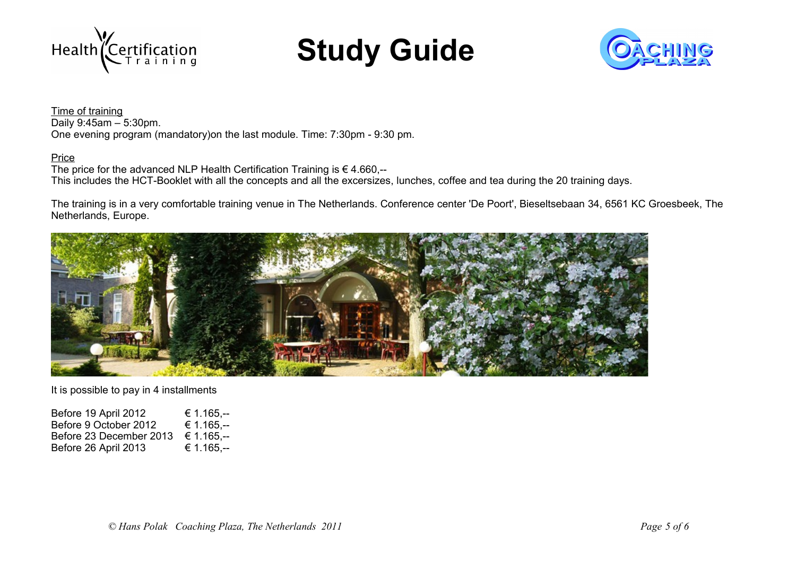



Time of training Daily 9:45am – 5:30pm. One evening program (mandatory)on the last module. Time: 7:30pm - 9:30 pm.

### Price

The price for the advanced NLP Health Certification Training is  $\epsilon$  4.660,--This includes the HCT-Booklet with all the concepts and all the excersizes, lunches, coffee and tea during the 20 training days.

The training is in a very comfortable training venue in The Netherlands. Conference center 'De Poort', Bieseltsebaan 34, 6561 KC Groesbeek, The Netherlands, Europe.



It is possible to pay in 4 installments

Before 19 April 2012 € 1.165,--<br>Before 9 October 2012 € 1.165,--Before 9 October 2012 Before 23 December 2013 € 1.165,--<br>Before 26 April 2013 € 1.165,--Before 26 April 2013